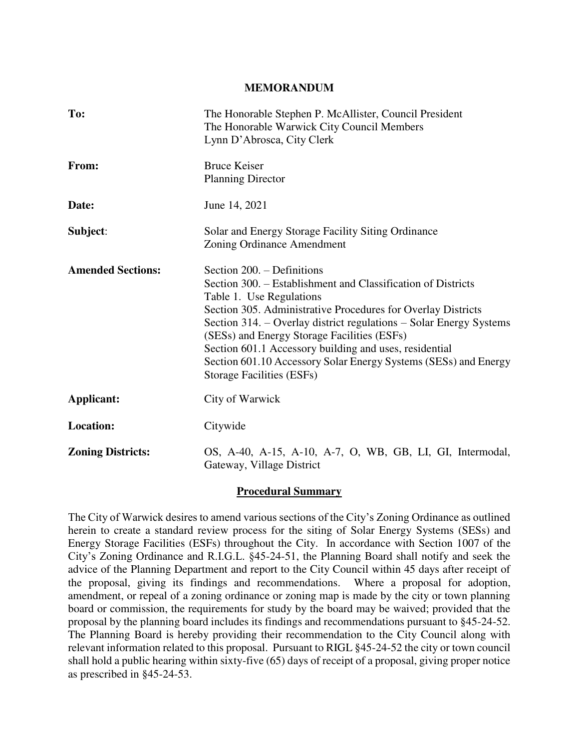#### **MEMORANDUM**

| To:                      | The Honorable Stephen P. McAllister, Council President<br>The Honorable Warwick City Council Members<br>Lynn D'Abrosca, City Clerk                                                                                                                                                                                                                                                                                                                                    |  |  |
|--------------------------|-----------------------------------------------------------------------------------------------------------------------------------------------------------------------------------------------------------------------------------------------------------------------------------------------------------------------------------------------------------------------------------------------------------------------------------------------------------------------|--|--|
| From:                    | <b>Bruce Keiser</b><br><b>Planning Director</b>                                                                                                                                                                                                                                                                                                                                                                                                                       |  |  |
| Date:                    | June 14, 2021                                                                                                                                                                                                                                                                                                                                                                                                                                                         |  |  |
| Subject:                 | Solar and Energy Storage Facility Siting Ordinance<br><b>Zoning Ordinance Amendment</b>                                                                                                                                                                                                                                                                                                                                                                               |  |  |
| <b>Amended Sections:</b> | Section 200. – Definitions<br>Section 300. – Establishment and Classification of Districts<br>Table 1. Use Regulations<br>Section 305. Administrative Procedures for Overlay Districts<br>Section 314. – Overlay district regulations – Solar Energy Systems<br>(SESs) and Energy Storage Facilities (ESFs)<br>Section 601.1 Accessory building and uses, residential<br>Section 601.10 Accessory Solar Energy Systems (SESs) and Energy<br>Storage Facilities (ESFs) |  |  |
| <b>Applicant:</b>        | City of Warwick                                                                                                                                                                                                                                                                                                                                                                                                                                                       |  |  |
| <b>Location:</b>         | Citywide                                                                                                                                                                                                                                                                                                                                                                                                                                                              |  |  |
| <b>Zoning Districts:</b> | OS, A-40, A-15, A-10, A-7, O, WB, GB, LI, GI, Intermodal,<br>Gateway, Village District                                                                                                                                                                                                                                                                                                                                                                                |  |  |

#### **Procedural Summary**

The City of Warwick desires to amend various sections of the City's Zoning Ordinance as outlined herein to create a standard review process for the siting of Solar Energy Systems (SESs) and Energy Storage Facilities (ESFs) throughout the City. In accordance with Section 1007 of the City's Zoning Ordinance and R.I.G.L. §45-24-51, the Planning Board shall notify and seek the advice of the Planning Department and report to the City Council within 45 days after receipt of the proposal, giving its findings and recommendations. Where a proposal for adoption, amendment, or repeal of a zoning ordinance or zoning map is made by the city or town planning board or commission, the requirements for study by the board may be waived; provided that the proposal by the planning board includes its findings and recommendations pursuant to §45-24-52. The Planning Board is hereby providing their recommendation to the City Council along with relevant information related to this proposal. Pursuant to RIGL §45-24-52 the city or town council shall hold a public hearing within sixty-five (65) days of receipt of a proposal, giving proper notice as prescribed in §45-24-53.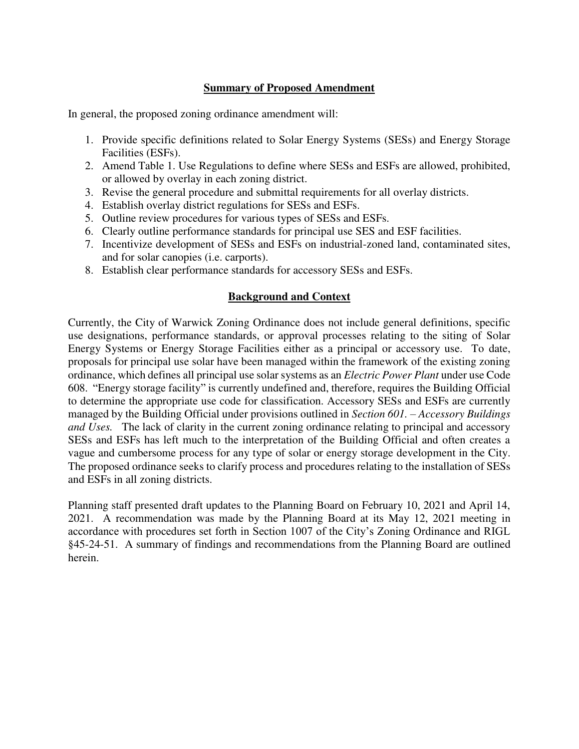## **Summary of Proposed Amendment**

In general, the proposed zoning ordinance amendment will:

- 1. Provide specific definitions related to Solar Energy Systems (SESs) and Energy Storage Facilities (ESFs).
- 2. Amend Table 1. Use Regulations to define where SESs and ESFs are allowed, prohibited, or allowed by overlay in each zoning district.
- 3. Revise the general procedure and submittal requirements for all overlay districts.
- 4. Establish overlay district regulations for SESs and ESFs.
- 5. Outline review procedures for various types of SESs and ESFs.
- 6. Clearly outline performance standards for principal use SES and ESF facilities.
- 7. Incentivize development of SESs and ESFs on industrial-zoned land, contaminated sites, and for solar canopies (i.e. carports).
- 8. Establish clear performance standards for accessory SESs and ESFs.

### **Background and Context**

Currently, the City of Warwick Zoning Ordinance does not include general definitions, specific use designations, performance standards, or approval processes relating to the siting of Solar Energy Systems or Energy Storage Facilities either as a principal or accessory use. To date, proposals for principal use solar have been managed within the framework of the existing zoning ordinance, which defines all principal use solar systems as an *Electric Power Plant* under use Code 608. "Energy storage facility" is currently undefined and, therefore, requires the Building Official to determine the appropriate use code for classification. Accessory SESs and ESFs are currently managed by the Building Official under provisions outlined in *Section 601. – Accessory Buildings and Uses.* The lack of clarity in the current zoning ordinance relating to principal and accessory SESs and ESFs has left much to the interpretation of the Building Official and often creates a vague and cumbersome process for any type of solar or energy storage development in the City. The proposed ordinance seeks to clarify process and procedures relating to the installation of SESs and ESFs in all zoning districts.

Planning staff presented draft updates to the Planning Board on February 10, 2021 and April 14, 2021. A recommendation was made by the Planning Board at its May 12, 2021 meeting in accordance with procedures set forth in Section 1007 of the City's Zoning Ordinance and RIGL §45-24-51. A summary of findings and recommendations from the Planning Board are outlined herein.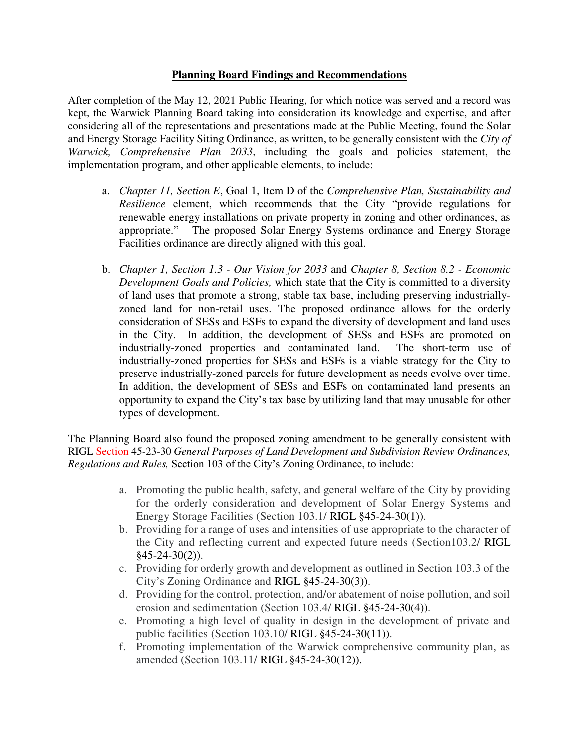### **Planning Board Findings and Recommendations**

After completion of the May 12, 2021 Public Hearing, for which notice was served and a record was kept, the Warwick Planning Board taking into consideration its knowledge and expertise, and after considering all of the representations and presentations made at the Public Meeting, found the Solar and Energy Storage Facility Siting Ordinance, as written, to be generally consistent with the *City of Warwick, Comprehensive Plan 2033*, including the goals and policies statement, the implementation program, and other applicable elements, to include:

- a. *Chapter 11, Section E*, Goal 1, Item D of the *Comprehensive Plan, Sustainability and Resilience* element, which recommends that the City "provide regulations for renewable energy installations on private property in zoning and other ordinances, as appropriate." The proposed Solar Energy Systems ordinance and Energy Storage Facilities ordinance are directly aligned with this goal.
- b. *Chapter 1, Section 1.3 Our Vision for 2033* and *Chapter 8, Section 8.2 Economic Development Goals and Policies,* which state that the City is committed to a diversity of land uses that promote a strong, stable tax base, including preserving industriallyzoned land for non-retail uses. The proposed ordinance allows for the orderly consideration of SESs and ESFs to expand the diversity of development and land uses in the City. In addition, the development of SESs and ESFs are promoted on industrially-zoned properties and contaminated land. The short-term use of industrially-zoned properties for SESs and ESFs is a viable strategy for the City to preserve industrially-zoned parcels for future development as needs evolve over time. In addition, the development of SESs and ESFs on contaminated land presents an opportunity to expand the City's tax base by utilizing land that may unusable for other types of development.

The Planning Board also found the proposed zoning amendment to be generally consistent with RIGL Section 45-23-30 *General Purposes of Land Development and Subdivision Review Ordinances, Regulations and Rules,* Section 103 of the City's Zoning Ordinance, to include:

- a. Promoting the public health, safety, and general welfare of the City by providing for the orderly consideration and development of Solar Energy Systems and Energy Storage Facilities (Section 103.1/ RIGL §45-24-30(1)).
- b. Providing for a range of uses and intensities of use appropriate to the character of the City and reflecting current and expected future needs (Section103.2/ RIGL  $§45-24-30(2)$ ).
- c. Providing for orderly growth and development as outlined in Section 103.3 of the City's Zoning Ordinance and RIGL §45-24-30(3)).
- d. Providing for the control, protection, and/or abatement of noise pollution, and soil erosion and sedimentation (Section 103.4/ RIGL §45-24-30(4)).
- e. Promoting a high level of quality in design in the development of private and public facilities (Section 103.10/ RIGL §45-24-30(11)).
- f. Promoting implementation of the Warwick comprehensive community plan, as amended (Section 103.11/ RIGL §45-24-30(12)).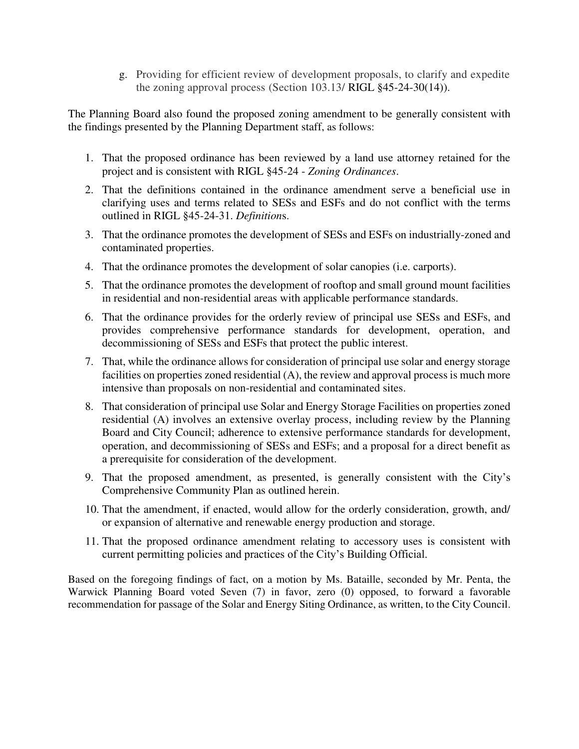g. Providing for efficient review of development proposals, to clarify and expedite the zoning approval process (Section 103.13/ RIGL §45-24-30(14)).

The Planning Board also found the proposed zoning amendment to be generally consistent with the findings presented by the Planning Department staff, as follows:

- 1. That the proposed ordinance has been reviewed by a land use attorney retained for the project and is consistent with RIGL §45-24 - *Zoning Ordinances*.
- 2. That the definitions contained in the ordinance amendment serve a beneficial use in clarifying uses and terms related to SESs and ESFs and do not conflict with the terms outlined in RIGL §45-24-31. *Definition*s.
- 3. That the ordinance promotes the development of SESs and ESFs on industrially-zoned and contaminated properties.
- 4. That the ordinance promotes the development of solar canopies (i.e. carports).
- 5. That the ordinance promotes the development of rooftop and small ground mount facilities in residential and non-residential areas with applicable performance standards.
- 6. That the ordinance provides for the orderly review of principal use SESs and ESFs, and provides comprehensive performance standards for development, operation, and decommissioning of SESs and ESFs that protect the public interest.
- 7. That, while the ordinance allows for consideration of principal use solar and energy storage facilities on properties zoned residential (A), the review and approval process is much more intensive than proposals on non-residential and contaminated sites.
- 8. That consideration of principal use Solar and Energy Storage Facilities on properties zoned residential (A) involves an extensive overlay process, including review by the Planning Board and City Council; adherence to extensive performance standards for development, operation, and decommissioning of SESs and ESFs; and a proposal for a direct benefit as a prerequisite for consideration of the development.
- 9. That the proposed amendment, as presented, is generally consistent with the City's Comprehensive Community Plan as outlined herein.
- 10. That the amendment, if enacted, would allow for the orderly consideration, growth, and/ or expansion of alternative and renewable energy production and storage.
- 11. That the proposed ordinance amendment relating to accessory uses is consistent with current permitting policies and practices of the City's Building Official.

Based on the foregoing findings of fact, on a motion by Ms. Bataille, seconded by Mr. Penta, the Warwick Planning Board voted Seven (7) in favor, zero (0) opposed, to forward a favorable recommendation for passage of the Solar and Energy Siting Ordinance, as written, to the City Council.